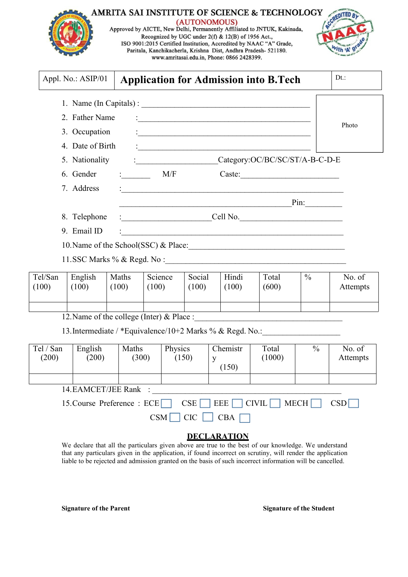| <b>AMRITA SAI INSTITUTE OF SCIENCE &amp; TECHNOLOGY</b><br>(AUTONOMOUS)<br>Approved by AICTE, New Delhi, Permanently Affiliated to JNTUK, Kakinada,<br>Recognized by UGC under 2(f) & 12(B) of 1956 Act.,<br>ISO 9001:2015 Certified Institution, Accredited by NAAC "A" Grade,<br>Paritala, Kanchikacherla, Krishna Dist, Andhra Pradesh- 521180.<br>www.amritasai.edu.in, Phone: 0866 2428399. |  |
|--------------------------------------------------------------------------------------------------------------------------------------------------------------------------------------------------------------------------------------------------------------------------------------------------------------------------------------------------------------------------------------------------|--|
|                                                                                                                                                                                                                                                                                                                                                                                                  |  |

| Appl. No.: ASIP/01         | <b>Application for Admission into B.Tech</b>                                                                                                                                                                                      | $Dt.$ : |
|----------------------------|-----------------------------------------------------------------------------------------------------------------------------------------------------------------------------------------------------------------------------------|---------|
|                            |                                                                                                                                                                                                                                   |         |
| 2. Father Name             |                                                                                                                                                                                                                                   |         |
| 3. Occupation              | $\frac{1}{2}$ . The contract of the contract of the contract of the contract of the contract of the contract of the contract of the contract of the contract of the contract of the contract of the contract of the contract of t | Photo   |
| 4. Date of Birth           |                                                                                                                                                                                                                                   |         |
| 5. Nationality             | Category:OC/BC/SC/ST/A-B-C-D-E<br>$\mathbf{C}$ . The contract of the contract of $\mathbf{C}$                                                                                                                                     |         |
| 6. Gender                  | M/F<br>$\mathbf{1}$ and $\mathbf{1}$ and $\mathbf{1}$                                                                                                                                                                             |         |
| 7. Address                 | <u> : a construction de la proposa de la proposa de la proposa de la proposa de la proposa de la proposa de la p</u>                                                                                                              |         |
|                            |                                                                                                                                                                                                                                   |         |
| 8. Telephone               | Cell No.<br><u> 1990 - Jan Barbarat, martin a</u>                                                                                                                                                                                 |         |
| 9. Email ID                | <u> 1980 - Jan Barbara, margaretar margolaria (h. 1980).</u>                                                                                                                                                                      |         |
|                            | 10. Name of the School(SSC) & Place:                                                                                                                                                                                              |         |
| 11.SSC Marks % & Regd. No: |                                                                                                                                                                                                                                   |         |

| Tel/San<br>English<br>Maths<br>(100)<br>(100)<br>(100) | Social<br>Science<br>(100)<br>(100) | Hindi<br>(100) | Total<br>(600) | $\frac{0}{0}$ | No. of<br><b>Attempts</b> |
|--------------------------------------------------------|-------------------------------------|----------------|----------------|---------------|---------------------------|
|                                                        |                                     |                |                |               |                           |

12.Name of the college (Inter) & Place :\_\_\_\_\_\_\_\_\_\_\_\_\_\_\_\_\_\_\_\_\_\_\_\_\_\_\_\_\_\_\_\_\_\_\_\_

13.Intermediate / \*Equivalence/10+2 Marks % & Regd. No.:\_\_\_\_\_\_\_\_\_\_\_\_\_\_\_\_\_\_\_\_\_\_\_\_

| Tel / San<br>(200) | English<br>(200)              | Maths<br>(300) | Physics<br>(150) | Chemistr<br>y<br>(150) | Total<br>(1000) | $\frac{0}{0}$ | No. of<br>Attempts |
|--------------------|-------------------------------|----------------|------------------|------------------------|-----------------|---------------|--------------------|
|                    |                               |                |                  |                        |                 |               |                    |
|                    | 14. EAMCET/JEE Rank :         |                |                  |                        |                 |               |                    |
|                    | 15. Course Preference : $ECE$ |                | CSE              | $ $ EEE $ $            | $CIVIL$ MECH    |               | CSD                |
|                    |                               | <b>CSM</b>     | <b>CIC</b>       | CBA                    |                 |               |                    |

## **DECLARATION**

We declare that all the particulars given above are true to the best of our knowledge. We understand that any particulars given in the application, if found incorrect on scrutiny, will render the application liable to be rejected and admission granted on the basis of such incorrect information will be cancelled.